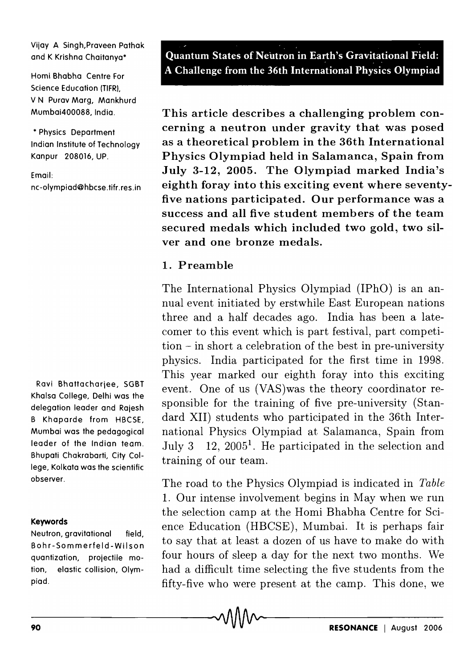Vijay A Singh,Praveen Pathak and K Krishna Chaitanya\*

Homi Bhabha Centre For Science Education (TIFR), V N Purav Marg, Mankhurd Mumbai400088, India.

\* Physics Department Indian Institute of Technology Kanpur 208016, UP.

Email:

nc-olympiad@hbcse.tifr.res.in

Ravi Bhattacharjee, SGBT Khalsa College, Delhi was the delegation leader and Rajesh B Khaparde from HBCSE, Mumbai was the pedagogical leader of the Indian team. Bhupati Chakrabarti, City College, Kolkata was the scientific observer.

#### Keywords

Neutron, gravitational field, Bohr-Sommerfeld-Wilson quantization, projectile motion, elastic collision, Olympiad.

. ' Quantum States of Neutron in Earth's Gravitational Field: . . A Challenge from the 36th International Physics Olympiad

This article describes a challenging problem concerning a neutron under gravity that was posed as a theoretical problem in the 36th International Physics Olympiad held in Salamanca, Spain from July 3-12, 2005. The Olympiad marked India's eighth foray into this exciting event where seventyfive nations participated. Our performance was a success and all five student members of the team secured medals which included two gold, two silver and one bronze medals.

## 1. Preamble

The International Physics Olympiad (IPhO) is an annual event initiated by erstwhile East European nations three and a half decades ago. India has been a latecomer to this event which is part festival, part competition - in short a celebration of the best in pre-university physics. India participated for the first time in 1998. This year marked our eighth foray into this exciting event. One of us (VAS)was the theory coordinator responsible for the training of five pre-university (Standard XII) students who participated in the 36th International Physics Olympiad at Salamanca, Spain from July 3  $12$ ,  $2005<sup>1</sup>$ . He participated in the selection and training of our team.

The road to the Physics Olympiad is indicated in *Table*  1. Our intense involvement begins in May when we run the selection camp at the Homi Bhabha Centre for Science Education (HBCSE), Mumbai. It is perhaps fair to say that at least a dozen of us have to make do with four hours of sleep a day for the next two months. We had a difficult time selecting the five students from the fifty-five who were present at the camp. This done, we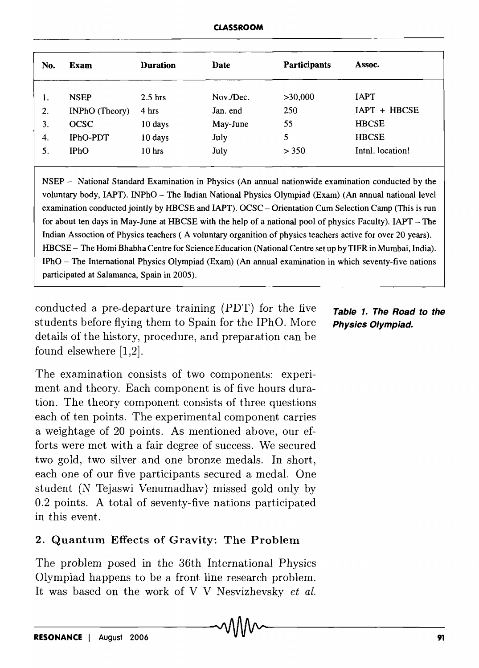| No. | Exam                  | <b>Duration</b> | Date      | <b>Participants</b> | Assoc.          |
|-----|-----------------------|-----------------|-----------|---------------------|-----------------|
|     | <b>NSEP</b>           | $2.5$ hrs       | Nov./Dec. | >30,000             | <b>IAPT</b>     |
| 2.  | <b>INPhO</b> (Theory) | 4 hrs           | Jan. end  | 250                 | IAPT + HBCSE    |
| 3.  | <b>OCSC</b>           | 10 days         | May-June  | 55                  | <b>HBCSE</b>    |
| 4.  | <b>IPhO-PDT</b>       | 10 days         | July      | 5                   | <b>HBCSE</b>    |
| 5.  | IPhO                  | $10h$ rs        | July      | > 350               | Inth. location! |
|     |                       |                 |           |                     |                 |

NSEP - National Standard Examination in Physics (An annual nationwide examination conducted by the voluntary body, IAPT). INPhO - The Indian National Physics Olympiad (Exam) (An annual national level examination conducted jointly by HBCSE and IAPT). OCSC - Orientation Cum Selection Camp (This is run for about ten days in May-June at HBCSE with the help of a national pool of physics Faculty). IAPT - The Indian Assoction of Physics teachers ( A voluntary organition of physics teachers active for over 20 years). HBCSE - The Homi Bhabha Centre for Science Education (National Centre set up by TIFR in Mumbai, India). IPhO - The International Physics Olympiad (Exam) (An annual examination in which seventy-five nations participated at Salamanca, Spain in 2005).

conducted a pre-departure training  $(PDT)$  for the five Table 1. The Road to the students before flying them to Spain for the IPhO. More Physics Olympiad. details of the history, procedure, and preparation can be found elsewhere [1,2].

The examination consists of two components: experiment and theory. Each component is of five hours duration. The theory component consists of three questions each of ten points. The experimental component carries a weight age of 20 points. As mentioned above, our efforts were met with a fair degree of success. We secured two gold, two silver and one bronze medals. In short, each one of our five participants secured a medal. One student (N Tejaswi Venumadhav) missed gold only by 0.2 points. A total of seventy-five nations participated in this event.

# 2. Quantum Effects of Gravity: The Problem

The problem posed in the 36th International Physics Olympiad happens to be a front line research problem. It was based on the work of V V Nesvizhevsky *et al.*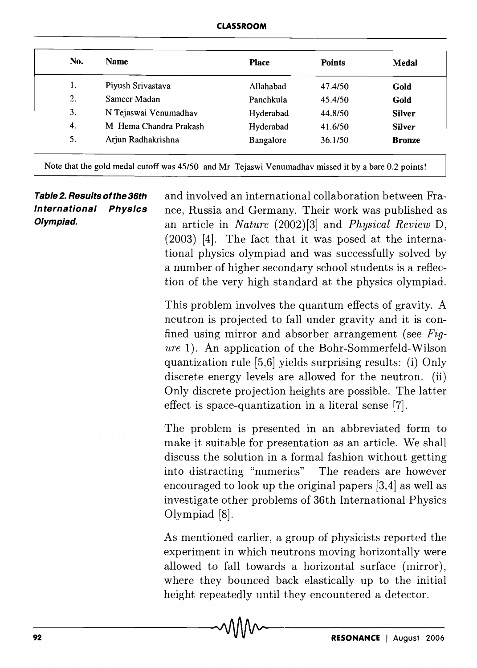| No. | <b>Name</b>            | <b>Place</b> | <b>Points</b> | Medal         |
|-----|------------------------|--------------|---------------|---------------|
| 1.  | Piyush Srivastava      | Allahabad    | 47.4/50       | Gold          |
| 2.  | Sameer Madan           | Panchkula    | 45.4/50       | Gold          |
| 3.  | N Tejaswai Venumadhav  | Hyderabad    | 44.8/50       | <b>Silver</b> |
| 4.  | M Hema Chandra Prakash | Hyderabad    | 41.6/50       | <b>Silver</b> |
| 5.  | Arjun Radhakrishna     | Bangalore    | 36.1/50       | <b>Bronze</b> |

**Table 2. Results ofthe 36th International Physics Olympiad.**  and involved an international collaboration between France, Russia and Germany. Their work was published as an article in *Nature* (2002) [3] and *Physical Review* D, (2003) [4]. The fact that it was posed at the international physics olympiad and was successfully solved by a number of higher secondary school students is a reflection of the very high standard at the physics olympiad. This problem involves the quantum effects of gravity. A

neutron is projected to fall under gravity and it is confined using mirror and absorber arrangement (see *Figure* 1). An application of the Bohr-Sommerfeld-Wilson quantization rule [5,6] yields surprising results: (i) Only discrete energy levels are allowed for the neutron. (ii) Only discrete projection heights are possible. The latter effect is space-quantization in a literal sense [7].

The problem is presented in an abbreviated form to make it suitable for presentation as an article. We shall discuss the solution in a formal fashion without getting into distracting "numerics" The readers are however encouraged to look up the original papers [3,4] as well as investigate other problems of 36th International Physics Olympiad [8].

As mentioned earlier, a group of physicists reported the experiment in which neutrons moving horizontally were allowed to fall towards a horizontal surface (mirror), where they bounced back elastically up to the initial height repeatedly until they encountered a detector.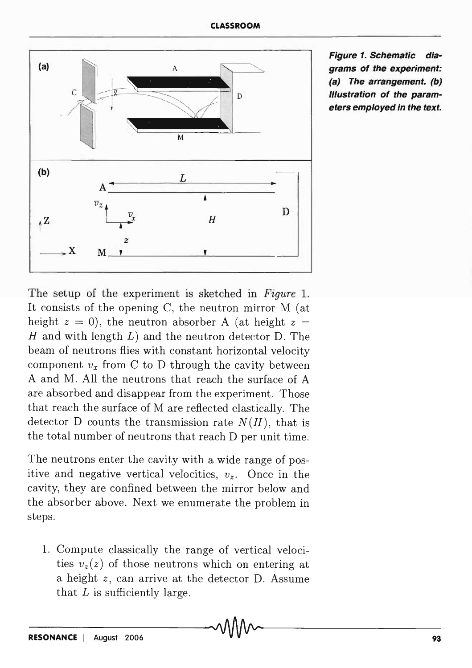

**Figure 1. Schematic diagrams of the experiment: (a) The arrangement. (b) Illustration of the parameters employed in the text.** 

The setup of the experiment is sketched in *Figure* 1. It consists of the opening C, the neutron mirror M (at height  $z = 0$ ), the neutron absorber A (at height  $z =$ *H* and with length *L)* and the neutron detector D. The beam of neutrons flies with constant horizontal velocity component  $v_x$  from C to D through the cavity between A and M. All the neutrons that reach the surface of A are absorbed and disappear from the experiment. Those that reach the surface of M are reflected elastically. The detector D counts the transmission rate  $N(H)$ , that is the total number of neutrons that reach D per unit time.

The neutrons enter the cavity with a wide range of positive and negative vertical velocities,  $v_z$ . Once in the cavity, they are confined between the mirror below and the absorber above. Next we enumerate the problem in steps.

1. Compute classically the range of vertical velocities  $v_z(z)$  of those neutrons which on entering at a height *z,* can arrive at the detector D. Assume that *L* is sufficiently large.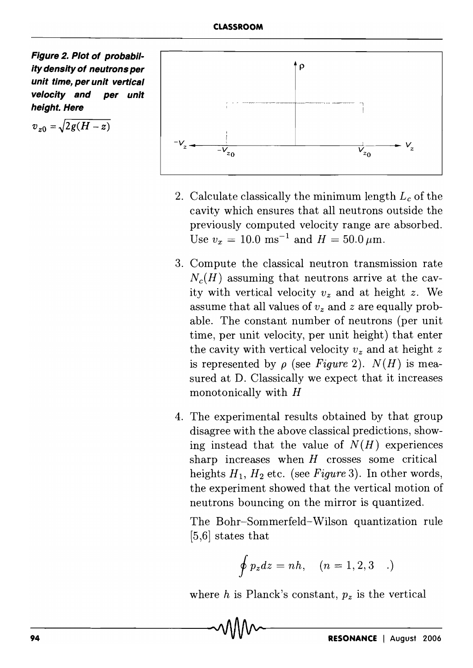**Figure 2. Plot of probability density of neutrons per unit time, per unit vertical velocity and per unit height. Here** 

$$
v_{z0}=\sqrt{2g(H-z)}
$$



- 2. Calculate classically the minimum length *Lc* of the cavity which ensures that all neutrons outside the previously computed velocity range are absorbed. Use  $v_x = 10.0 \text{ ms}^{-1}$  and  $H = 50.0 \mu \text{m}$ .
- 3. Compute the classical neutron transmission rate  $N_c(H)$  assuming that neutrons arrive at the cavity with vertical velocity  $v_z$  and at height z. We assume that all values of  $v_z$  and  $z$  are equally probable. The constant number of neutrons (per unit time, per unit velocity, per unit height) that enter the cavity with vertical velocity  $v_z$  and at height  $z$ is represented by  $\rho$  (see *Figure 2*).  $N(H)$  is measured at D. Classically we expect that it increases monotonically with  $H$
- 4. The experimental results obtained by that group disagree with the above classical predictions, showing instead that the value of  $N(H)$  experiences sharp increases when *H* crosses some critical heights  $H_1$ ,  $H_2$  etc. (see *Figure* 3). In other words, the experiment showed that the vertical motion of neutrons bouncing on the mirror is quantized.

The Bohr-Sommerfeld-Wilson quantization rule [5,6] states that

$$
\oint p_z dz = nh, \quad (n = 1, 2, 3 \quad .)
$$

where  $h$  is Planck's constant,  $p_z$  is the vertical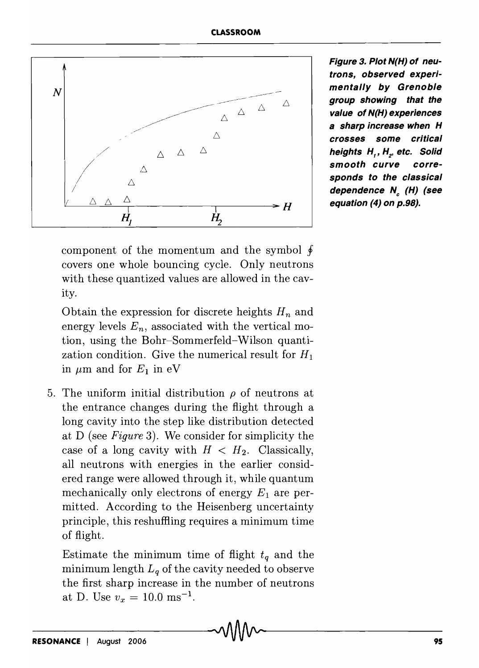

**Figure 3. Plot N(H) of neutrons, observed experimentally by Grenoble group showing that the value of N(H) experiences a sharp increase when H crosses some critical**  *heights H., H., etc. Solid* **smooth curve corresponds to the classical dependence N<sub>c</sub>** (H) (see **equation (4) on p.98).** 

component of the momentum and the symbol  $\oint$ covers one whole bouncing cycle. Only neutrons with these quantized values are allowed in the cavity.

Obtain the expression for discrete heights  $H_n$  and energy levels  $E_n$ , associated with the vertical motion, using the Bohr-Sommerfeld-Wilson quantization condition. Give the numerical result for  $H_1$ in  $\mu$ m and for  $E_1$  in eV

5. The uniform initial distribution  $\rho$  of neutrons at the entrance changes during the flight through a long cavity into the step like distribution detected at D (see *Figure* 3). We consider for simplicity the case of a long cavity with  $H < H_2$ . Classically, all neutrons with energies in the earlier considered range were allowed through it, while quantum mechanically only electrons of energy  $E_1$  are permitted. According to the Heisenberg uncertainty principle, this reshuffling requires a minimum time of flight.

Estimate the minimum time of flight  $t_q$  and the minimum length  $L_q$  of the cavity needed to observe the first sharp increase in the number of neutrons at D. Use  $v_x = 10.0 \text{ ms}^{-1}$ .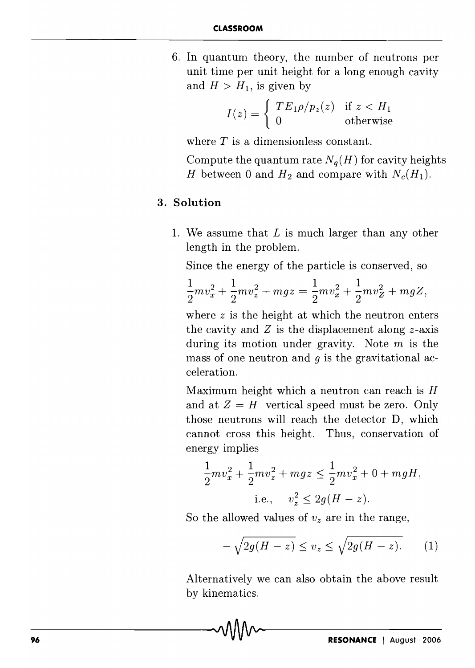6. In quantum theory, the number of neutrons per unit time per unit height for a long enough cavity and  $H > H_1$ , is given by

$$
I(z) = \begin{cases} TE_1 \rho / p_z(z) & \text{if } z < H_1 \\ 0 & \text{otherwise} \end{cases}
$$

where *T* is a dimensionless constant.

Compute the quantum rate  $N_q(H)$  for cavity heights *H* between 0 and  $H_2$  and compare with  $N_c(H_1)$ .

### 3. **Solution**

1. We assume that L is much larger than any other length in the problem.

Since the energy of the particle is conserved, so  
\n
$$
\frac{1}{2}mv_x^2 + \frac{1}{2}mv_z^2 + mgz = \frac{1}{2}mv_x^2 + \frac{1}{2}mv_z^2 + mgz,
$$

where *z* is the height at which the neutron enters the cavity and *Z* is the displacement along z-axis during its motion under gravity. Note  $m$  is the mass of one neutron and *g* is the gravitational acceleration.

Maximum height which a neutron can reach is *H*  and at  $Z = H$  vertical speed must be zero. Only those neutrons will reach the detector D, which cannot cross this height. Thus, conservation of energy implies

$$
\frac{1}{2}mv_x^2 + \frac{1}{2}mv_z^2 + mgz \le \frac{1}{2}mv_x^2 + 0 + mgH,
$$
  
i.e.,  $v_z^2 \le 2g(H - z)$ .

So the allowed values of  $v<sub>z</sub>$  are in the range,

$$
-\sqrt{2g(H-z)} \le v_z \le \sqrt{2g(H-z)}.\tag{1}
$$

Alternatively we can also obtain the above result by kinematics.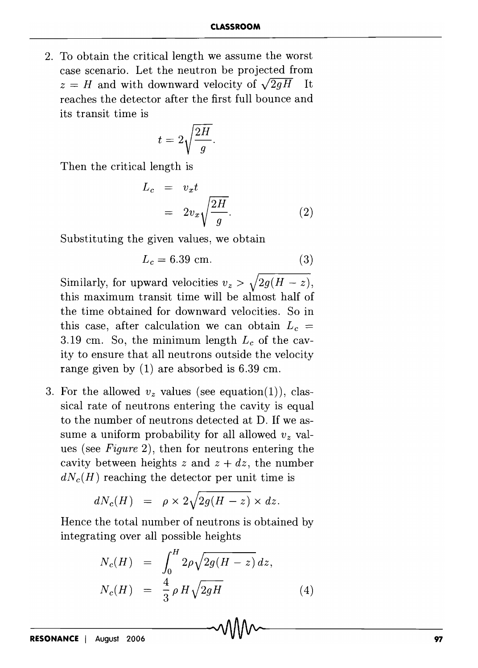2. To obtain the critical length we assume the worst case scenario. Let the neutron be projected from  $z = H$  and with downward velocity of  $\sqrt{2gH}$  It reaches the detector after the first full bounce and its transit time is

$$
t=2\sqrt{\frac{2H}{g}}.
$$

Then the critical length is

$$
L_c = v_x t
$$
  
=  $2v_x \sqrt{\frac{2H}{g}}$ . (2)

Substituting the given values, we obtain

$$
L_c = 6.39
$$
 cm. (3)

Similarly, for upward velocities  $v_z > \sqrt{2g(H - z)}$ , this maximum transit time will be almost half of the time obtained for downward velocities. So in this case, after calculation we can obtain  $L_c =$ 3.19 cm. So, the minimum length *Lc* of the cavity to ensure that all neutrons outside the velocity range given by (1) are absorbed is 6.39 em.

3. For the allowed  $v_z$  values (see equation (1)), classical rate of neutrons entering the cavity is equal to the number of neutrons detected at D. If we assume a uniform probability for all allowed  $v<sub>z</sub>$  values (see *Figure* 2), then for neutrons entering the cavity between heights *z* and  $z + dz$ , the number  $dN_c(H)$  reaching the detector per unit time is

$$
dN_c(H) = \rho \times 2\sqrt{2g(H-z)} \times dz.
$$

Hence the total number of neutrons is obtained by integrating over all possible heights

$$
N_c(H) = \int_0^H 2\rho \sqrt{2g(H-z)} dz,
$$
  

$$
N_c(H) = \frac{4}{3} \rho H \sqrt{2gH}
$$
 (4)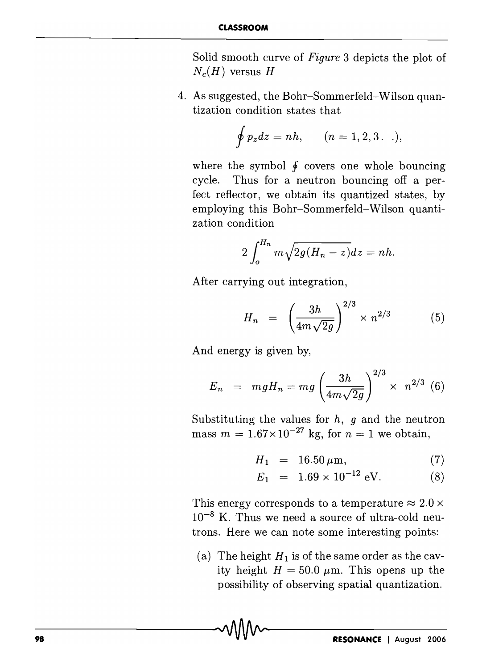Solid smooth curve of *Figure* 3 depicts the plot of  $N_c(H)$  versus *H* 

4. As suggested, the Bohr-Sommerfeld-Wilson quantization condition states that

$$
\oint p_z dz = nh,
$$
  $(n = 1, 2, 3...),$ 

where the symbol  $\oint$  covers one whole bouncing cycle. Thus for a neutron bouncing off a perfect reflector, we obtain its quantized states, by employing this Bohr-Sommerfeld-Wilson quantization condition

$$
2\int_o^{H_n} m\sqrt{2g(H_n-z)}dz = nh.
$$

After carrying out integration,

$$
H_n = \left(\frac{3h}{4m\sqrt{2g}}\right)^{2/3} \times n^{2/3} \tag{5}
$$

And energy is given by,

$$
E_n = mgH_n = mg \left(\frac{3h}{4m\sqrt{2g}}\right)^{2/3} \times n^{2/3} \tag{6}
$$

Substituting the values for  $h$ ,  $g$  and the neutron mass  $m = 1.67 \times 10^{-27}$  kg, for  $n = 1$  we obtain,

$$
H_1 = 16.50 \,\mu\text{m},\tag{7}
$$

$$
E_1 = 1.69 \times 10^{-12} \text{ eV}.
$$
 (8)

This energy corresponds to a temperature  $\approx 2.0 \times$  $10^{-8}$  K. Thus we need a source of ultra-cold neutrons. Here we can note some interesting points:

(a) The height  $H_1$  is of the same order as the cavity height  $H = 50.0 \ \mu \text{m}$ . This opens up the possibility of observing spatial quantization.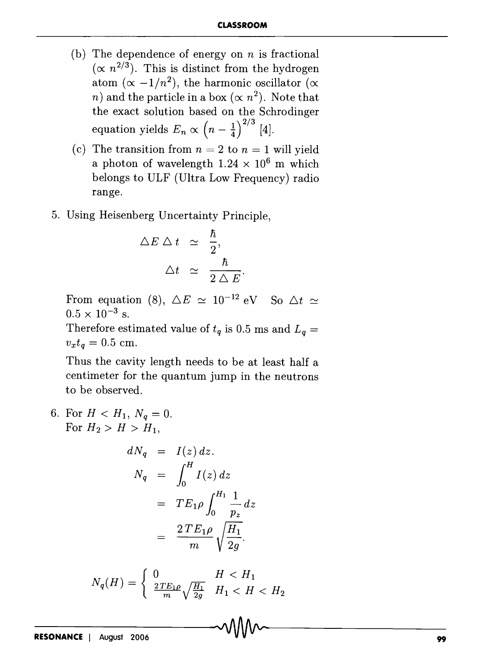- (b) The dependence of energy on *n* is fractional  $(\propto n^{2/3})$ . This is distinct from the hydrogen atom  $(\alpha -1/n^2)$ , the harmonic oscillator  $(\alpha$ *n*) and the particle in a box  $(\propto n^2)$ . Note that the exact solution based on the Schrodinger equation yields  $E_n \propto \left(n - \frac{1}{4}\right)^{2/3}$  [4].
- (c) The transition from  $n = 2$  to  $n = 1$  will yield a photon of wavelength  $1.24 \times 10^6$  m which belongs to ULF (Ultra Low Frequency) radio range.
- 5. Using Heisenberg Uncertainty Principle,

$$
\begin{array}{rcl}\n\triangle E \triangle t & \simeq & \frac{\hbar}{2}, \\
\triangle t & \simeq & \frac{\hbar}{2 \triangle E}\n\end{array}
$$

From equation (8),  $\Delta E \simeq 10^{-12}$  eV So  $\Delta t \simeq$  $0.5 \times 10^{-3}$  s.

Therefore estimated value of  $t_q$  is 0.5 ms and  $L_q =$  $v_x t_q = 0.5$  cm.

Thus the cavity length needs to be at least half a centimeter for the quantum jump in the neutrons to be observed.

6. For  $H < H_1, N_q = 0$ . For  $H_2 > H > H_1$ ,

$$
dN_q = I(z) dz.
$$
  
\n
$$
N_q = \int_0^H I(z) dz
$$
  
\n
$$
= TE_1 \rho \int_0^{H_1} \frac{1}{p_z} dz
$$
  
\n
$$
= \frac{2 TE_1 \rho}{m} \sqrt{\frac{H_1}{2g}}.
$$

$$
N_q(H) = \begin{cases} 0 & H < H_1 \\ \frac{2TE_1\rho}{m} \sqrt{\frac{H_1}{2g}} & H_1 < H < H_2 \end{cases}
$$